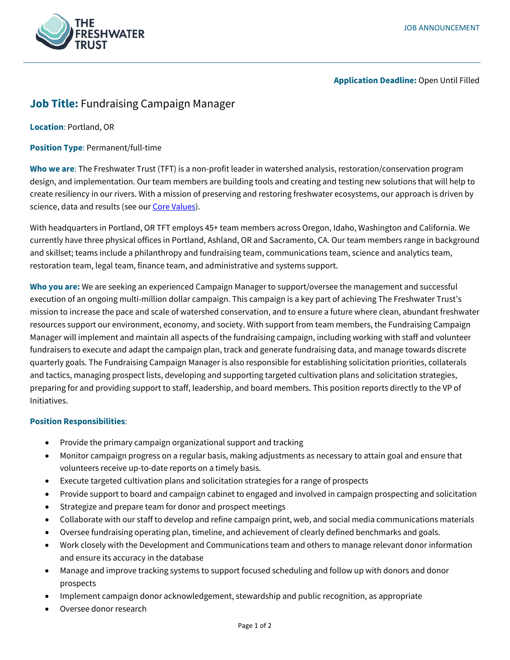

**Application Deadline:** Open Until Filled

# **Job Title:** Fundraising Campaign Manager

**Location**: Portland, OR

**Position Type**: Permanent/full-time

**Who we are**: The Freshwater Trust (TFT) is a non-profit leader in watershed analysis, restoration/conservation program design, and implementation. Our team members are building tools and creating and testing new solutions that will help to create resiliency in our rivers. With a mission of preserving and restoring freshwater ecosystems, our approach is driven by science, data and results (see ou[r Core Values\)](https://www.thefreshwatertrust.org/about-us/core-values/).

With headquarters in Portland, OR TFT employs 45+ team members across Oregon, Idaho, Washington and California. We currently have three physical offices in Portland, Ashland, OR and Sacramento, CA. Our team members range in background and skillset; teams include a philanthropy and fundraising team, communications team, science and analytics team, restoration team, legal team, finance team, and administrative and systems support.

**Who you are:** We are seeking an experienced Campaign Manager to support/oversee the management and successful execution of an ongoing multi-million dollar campaign. This campaign is a key part of achieving The Freshwater Trust's mission to increase the pace and scale of watershed conservation, and to ensure a future where clean, abundant freshwater resources support our environment, economy, and society. With support from team members, the Fundraising Campaign Manager will implement and maintain all aspects of the fundraising campaign, including working with staff and volunteer fundraisers to execute and adapt the campaign plan, track and generate fundraising data, and manage towards discrete quarterly goals. The Fundraising Campaign Manager is also responsible for establishing solicitation priorities, collaterals and tactics, managing prospect lists, developing and supporting targeted cultivation plans and solicitation strategies, preparing for and providing support to staff, leadership, and board members. This position reports directly to the VP of Initiatives.

## **Position Responsibilities**:

- Provide the primary campaign organizational support and tracking
- Monitor campaign progress on a regular basis, making adjustments as necessary to attain goal and ensure that volunteers receive up-to-date reports on a timely basis.
- Execute targeted cultivation plans and solicitation strategies for a range of prospects
- Provide support to board and campaign cabinet to engaged and involved in campaign prospecting and solicitation
- Strategize and prepare team for donor and prospect meetings
- Collaborate with our staff to develop and refine campaign print, web, and social media communications materials
- Oversee fundraising operating plan, timeline, and achievement of clearly defined benchmarks and goals.
- Work closely with the Development and Communications team and others to manage relevant donor information and ensure its accuracy in the database
- Manage and improve tracking systems to support focused scheduling and follow up with donors and donor prospects
- Implement campaign donor acknowledgement, stewardship and public recognition, as appropriate
- Oversee donor research